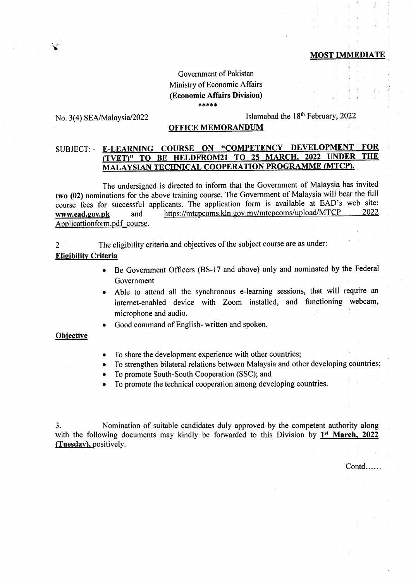### MOST IMMEDIATE

# Government of Pakistan Ministry of Economic Affairs (Economic Affairs Division)  $***$  \* \*

# No. 3(4) SEA/Malaysia/2022

I'

# Islamabad the 18<sup>th</sup> February, 2022

# OFFICE MEMORANDUM

# SUBJECT: - E-LEARNING COURSE ON "COMPETENCY DEVELOPMENT FOR<br>
CURTY TO BE HELDEROM21 TO 25 MARCH, 2022 UNDER THE (TVET)" TO BE HELDFROM21 TO 25 MARCH. N4ALAYSIAN TECHNICAL COOPERATION PROGRAMME MTCP).

The undersigned is directed to inform that the Government of Malaysia has invited two (02) nominations for the above training course. The Govemment of Malaysia will bear the full course fees for successful applicants. The application form is available at EAD's web site:<br>www.ead.gov.pk and https://mtcpcoms.kln.gov.mv/mtcpcoms/upload/MTCP 2022 www.ead.gov.pk and https://mtcpcoms.kln.gov.my/mtcpcoms/upload/MTCP Applicattion form. pdf course.

2 The eligibility criteria and objectives of the subject course are as under:

#### **Eligibility Criteria**

- Be Government Officers (BS-17 and above) only and nominated by the Federal Government
- Able to attend all the synchronous e-learning sessions, that will require an internet-enabled device with Zoom installed, and functioning webcam, microphone and audio.
- Good command of English- written and spoken.

## **Objective**

- To share the development experience with other countries;
- To strengthen bilateral relations between Malaysia and other developing countries;
- To promote South-South Cooperation (SSC); and
- To promote the technical cooperation among developing countries.

3. Nomination of suitable candidates duly approved by the competent authority along with the following documents may kindly be forwarded to this Division by  $1^{st}$  March, 2022 (Tuesdav). positively.

Contd......